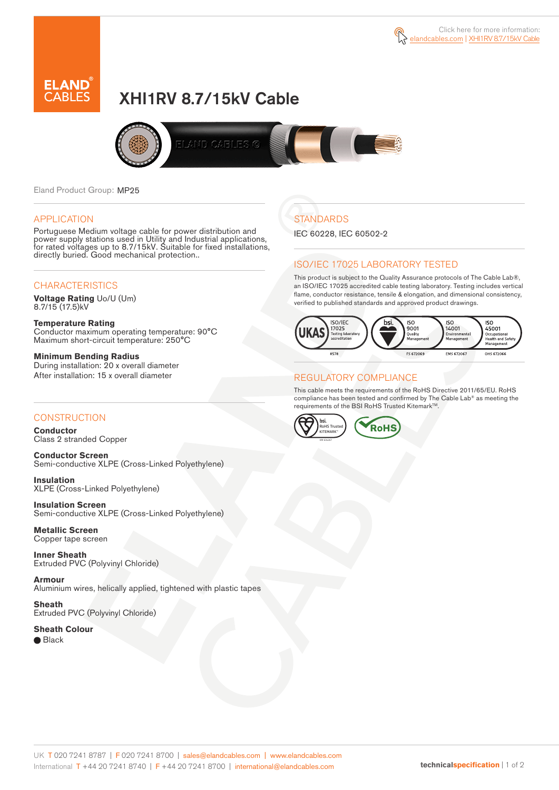



# XHI1RV 8.7/15kV Cable



Eland Product Group: MP25

#### APPLICATION

Portuguese Medium voltage cable for power distribution and power supply stations used in Utility and Industrial applications, for rated voltages up to 8.7/15kV. Suitable for fixed installations, directly buried. Good mechanical protection..

#### **CHARACTERISTICS**

**Voltage Rating** Uo/U (Um) 8.7/15 (17.5)kV

**Temperature Rating** Conductor maximum operating temperature: 90°C Maximum short-circuit temperature: 250°C

**Minimum Bending Radius** During installation: 20 x overall diameter After installation: 15 x overall diameter

#### **CONSTRUCTION**

**Conductor**  Class 2 stranded Copper

**Conductor Screen** Semi-conductive XLPE (Cross-Linked Polyethylene)

**Insulation** XLPE (Cross-Linked Polyethylene)

**Insulation Screen** Semi-conductive XLPE (Cross-Linked Polyethylene)

**Metallic Screen**  Copper tape screen

**Inner Sheath** Extruded PVC (Polyvinyl Chloride)

**Armour** Aluminium wires, helically applied, tightened with plastic tapes

**Sheath** Extruded PVC (Polyvinyl Chloride)

**Sheath Colour** ● Black

**STANDARDS** 

IEC 60228, IEC 60502-2

#### ISO/IEC 17025 LABORATORY TESTED

This product is subject to the Quality Assurance protocols of The Cable Lab®, an ISO/IEC 17025 accredited cable testing laboratory. Testing includes vertical flame, conductor resistance, tensile & elongation, and dimensional consistency, verified to published standards and approved product drawings.



#### REGULATORY COMPLIANCE

This cable meets the requirements of the RoHS Directive 2011/65/EU. RoHS compliance has been tested and confirmed by The Cable Lab® as meeting the requirements of the BSI RoHS Trusted Kitemark™.